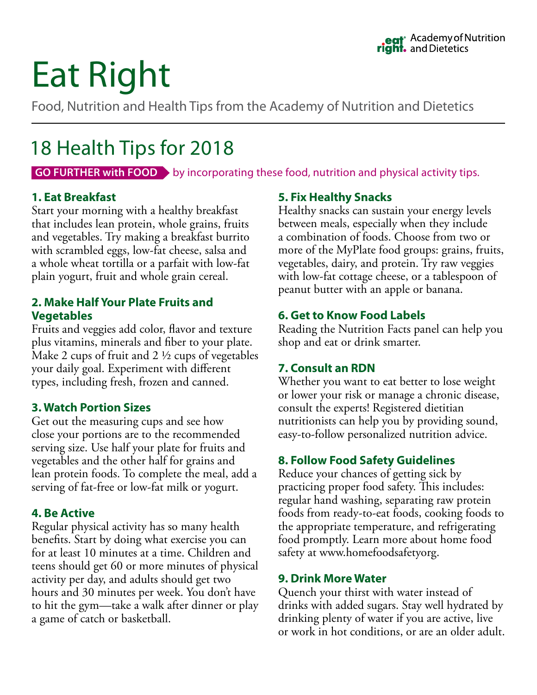# Eat Right

Food, Nutrition and Health Tips from the Academy of Nutrition and Dietetics

# 18 Health Tips for 2018

**GO FURTHER with FOOD** by incorporating these food, nutrition and physical activity tips.

# **1. Eat Breakfast**

Start your morning with a healthy breakfast that includes lean protein, whole grains, fruits and vegetables. Try making a breakfast burrito with scrambled eggs, low-fat cheese, salsa and a whole wheat tortilla or a parfait with low-fat plain yogurt, fruit and whole grain cereal.

## **2. Make Half Your Plate Fruits and Vegetables**

Fruits and veggies add color, flavor and texture plus vitamins, minerals and fiber to your plate. Make 2 cups of fruit and 2 ½ cups of vegetables your daily goal. Experiment with different types, including fresh, frozen and canned.

# **3. Watch Portion Sizes**

Get out the measuring cups and see how close your portions are to the recommended serving size. Use half your plate for fruits and vegetables and the other half for grains and lean protein foods. To complete the meal, add a serving of fat-free or low-fat milk or yogurt.

#### **4. Be Active**

Regular physical activity has so many health benefits. Start by doing what exercise you can for at least 10 minutes at a time. Children and teens should get 60 or more minutes of physical activity per day, and adults should get two hours and 30 minutes per week. You don't have to hit the gym—take a walk after dinner or play a game of catch or basketball.

# **5. Fix Healthy Snacks**

Healthy snacks can sustain your energy levels between meals, especially when they include a combination of foods. Choose from two or more of the MyPlate food groups: grains, fruits, vegetables, dairy, and protein. Try raw veggies with low-fat cottage cheese, or a tablespoon of peanut butter with an apple or banana.

# **6. Get to Know Food Labels**

Reading the Nutrition Facts panel can help you shop and eat or drink smarter.

# **7. Consult an RDN**

Whether you want to eat better to lose weight or lower your risk or manage a chronic disease, consult the experts! Registered dietitian nutritionists can help you by providing sound, easy-to-follow personalized nutrition advice.

# **8. Follow Food Safety Guidelines**

Reduce your chances of getting sick by practicing proper food safety. This includes: regular hand washing, separating raw protein foods from ready-to-eat foods, cooking foods to the appropriate temperature, and refrigerating food promptly. Learn more about home food safety at www.homefoodsafetyorg.

# **9. Drink More Water**

Quench your thirst with water instead of drinks with added sugars. Stay well hydrated by drinking plenty of water if you are active, live or work in hot conditions, or are an older adult.